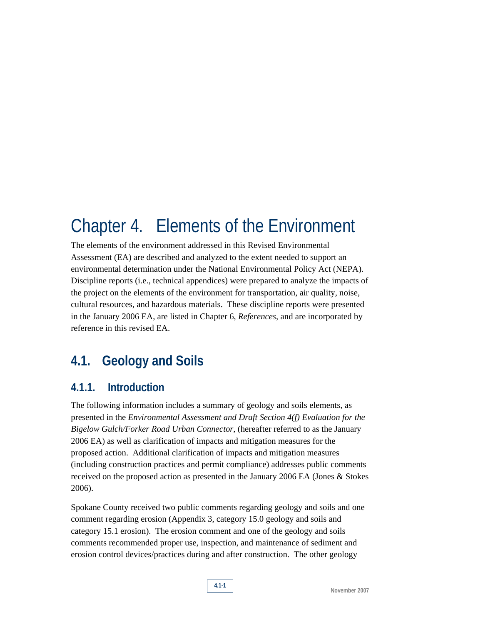# Chapter 4. Elements of the Environment

The elements of the environment addressed in this Revised Environmental Assessment (EA) are described and analyzed to the extent needed to support an environmental determination under the National Environmental Policy Act (NEPA). Discipline reports (i.e., technical appendices) were prepared to analyze the impacts of the project on the elements of the environment for transportation, air quality, noise, cultural resources, and hazardous materials. These discipline reports were presented in the January 2006 EA, are listed in Chapter 6, *References*, and are incorporated by reference in this revised EA.

## **4.1. Geology and Soils**

## **4.1.1. Introduction**

The following information includes a summary of geology and soils elements, as presented in the *Environmental Assessment and Draft Section 4(f) Evaluation for the Bigelow Gulch/Forker Road Urban Connector*, (hereafter referred to as the January 2006 EA) as well as clarification of impacts and mitigation measures for the proposed action. Additional clarification of impacts and mitigation measures (including construction practices and permit compliance) addresses public comments received on the proposed action as presented in the January 2006 EA (Jones & Stokes 2006).

Spokane County received two public comments regarding geology and soils and one comment regarding erosion (Appendix 3, category 15.0 geology and soils and category 15.1 erosion). The erosion comment and one of the geology and soils comments recommended proper use, inspection, and maintenance of sediment and erosion control devices/practices during and after construction. The other geology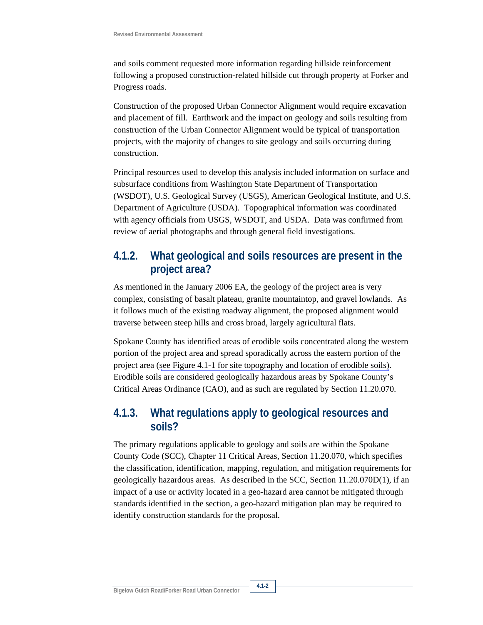and soils comment requested more information regarding hillside reinforcement following a proposed construction-related hillside cut through property at Forker and Progress roads.

Construction of the proposed Urban Connector Alignment would require excavation and placement of fill. Earthwork and the impact on geology and soils resulting from construction of the Urban Connector Alignment would be typical of transportation projects, with the majority of changes to site geology and soils occurring during construction.

Principal resources used to develop this analysis included information on surface and subsurface conditions from Washington State Department of Transportation (WSDOT), U.S. Geological Survey (USGS), American Geological Institute, and U.S. Department of Agriculture (USDA). Topographical information was coordinated with agency officials from USGS, WSDOT, and USDA. Data was confirmed from review of aerial photographs and through general field investigations.

## **4.1.2. What geological and soils resources are present in the project area?**

As mentioned in the January 2006 EA, the geology of the project area is very complex, consisting of basalt plateau, granite mountaintop, and gravel lowlands. As it follows much of the existing roadway alignment, the proposed alignment would traverse between steep hills and cross broad, largely agricultural flats.

Spokane County has identified areas of erodible soils concentrated along the western portion of the project area and spread sporadically across the eastern portion of the project area (see Figure 4.1-1 for site topography and location of erodible soils). Erodible soils are considered geologically hazardous areas by Spokane County's Critical Areas Ordinance (CAO), and as such are regulated by Section 11.20.070.

## **4.1.3. What regulations apply to geological resources and soils?**

The primary regulations applicable to geology and soils are within the Spokane County Code (SCC), Chapter 11 Critical Areas, Section 11.20.070, which specifies the classification, identification, mapping, regulation, and mitigation requirements for geologically hazardous areas. As described in the SCC, Section 11.20.070D(1), if an impact of a use or activity located in a geo-hazard area cannot be mitigated through standards identified in the section, a geo-hazard mitigation plan may be required to identify construction standards for the proposal.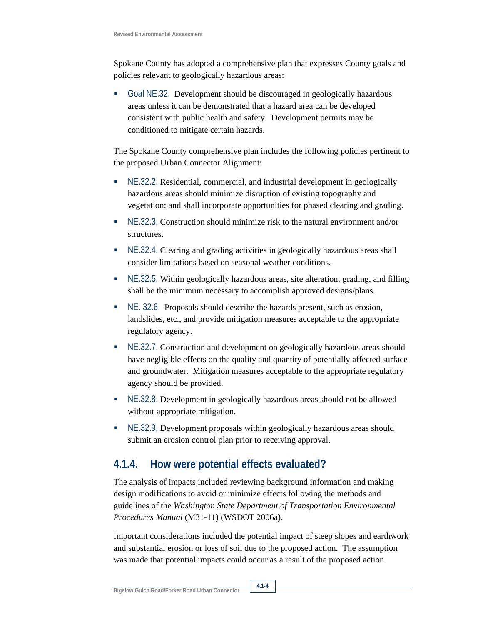Spokane County has adopted a comprehensive plan that expresses County goals and policies relevant to geologically hazardous areas:

 Goal NE.32. Development should be discouraged in geologically hazardous areas unless it can be demonstrated that a hazard area can be developed consistent with public health and safety. Development permits may be conditioned to mitigate certain hazards.

The Spokane County comprehensive plan includes the following policies pertinent to the proposed Urban Connector Alignment:

- NE.32.2. Residential, commercial, and industrial development in geologically hazardous areas should minimize disruption of existing topography and vegetation; and shall incorporate opportunities for phased clearing and grading.
- NE.32.3. Construction should minimize risk to the natural environment and/or structures.
- NE.32.4. Clearing and grading activities in geologically hazardous areas shall consider limitations based on seasonal weather conditions.
- NE.32.5. Within geologically hazardous areas, site alteration, grading, and filling shall be the minimum necessary to accomplish approved designs/plans.
- NE. 32.6. Proposals should describe the hazards present, such as erosion, landslides, etc., and provide mitigation measures acceptable to the appropriate regulatory agency.
- NE.32.7. Construction and development on geologically hazardous areas should have negligible effects on the quality and quantity of potentially affected surface and groundwater. Mitigation measures acceptable to the appropriate regulatory agency should be provided.
- NE.32.8. Development in geologically hazardous areas should not be allowed without appropriate mitigation.
- NE.32.9. Development proposals within geologically hazardous areas should submit an erosion control plan prior to receiving approval.

## **4.1.4. How were potential effects evaluated?**

The analysis of impacts included reviewing background information and making design modifications to avoid or minimize effects following the methods and guidelines of the *Washington State Department of Transportation Environmental Procedures Manual* (M31-11) (WSDOT 2006a).

Important considerations included the potential impact of steep slopes and earthwork and substantial erosion or loss of soil due to the proposed action. The assumption was made that potential impacts could occur as a result of the proposed action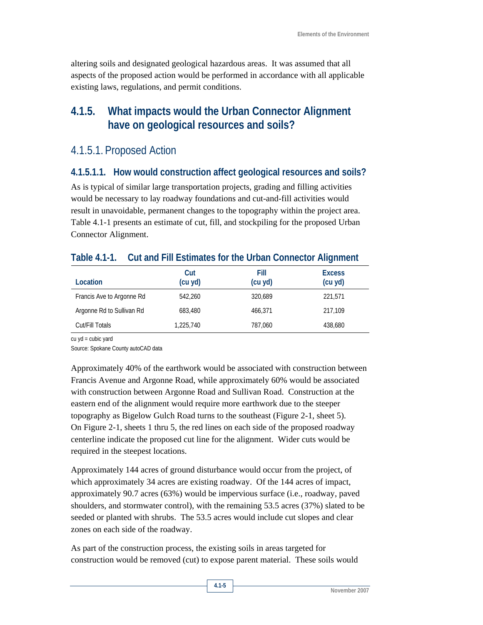altering soils and designated geological hazardous areas. It was assumed that all aspects of the proposed action would be performed in accordance with all applicable existing laws, regulations, and permit conditions.

## **4.1.5. What impacts would the Urban Connector Alignment have on geological resources and soils?**

## 4.1.5.1. Proposed Action

#### **4.1.5.1.1. How would construction affect geological resources and soils?**

As is typical of similar large transportation projects, grading and filling activities would be necessary to lay roadway foundations and cut-and-fill activities would result in unavoidable, permanent changes to the topography within the project area. Table 4.1-1 presents an estimate of cut, fill, and stockpiling for the proposed Urban Connector Alignment.

| Location                  | Cut<br>(cu yd) | Fill<br>(cu yd) | <b>Excess</b><br>(cu yd) |
|---------------------------|----------------|-----------------|--------------------------|
| Francis Ave to Argonne Rd | 542,260        | 320,689         | 221,571                  |
| Argonne Rd to Sullivan Rd | 683,480        | 466,371         | 217,109                  |
| Cut/Fill Totals           | 1,225,740      | 787,060         | 438,680                  |

#### **Table 4.1-1. Cut and Fill Estimates for the Urban Connector Alignment**

cu yd = cubic yard

Source: Spokane County autoCAD data

Approximately 40% of the earthwork would be associated with construction between Francis Avenue and Argonne Road, while approximately 60% would be associated with construction between Argonne Road and Sullivan Road. Construction at the eastern end of the alignment would require more earthwork due to the steeper topography as Bigelow Gulch Road turns to the southeast (Figure 2-1, sheet 5). On Figure 2-1, sheets 1 thru 5, the red lines on each side of the proposed roadway centerline indicate the proposed cut line for the alignment. Wider cuts would be required in the steepest locations.

Approximately 144 acres of ground disturbance would occur from the project, of which approximately 34 acres are existing roadway. Of the 144 acres of impact, approximately 90.7 acres (63%) would be impervious surface (i.e., roadway, paved shoulders, and stormwater control), with the remaining 53.5 acres (37%) slated to be seeded or planted with shrubs. The 53.5 acres would include cut slopes and clear zones on each side of the roadway.

As part of the construction process, the existing soils in areas targeted for construction would be removed (cut) to expose parent material. These soils would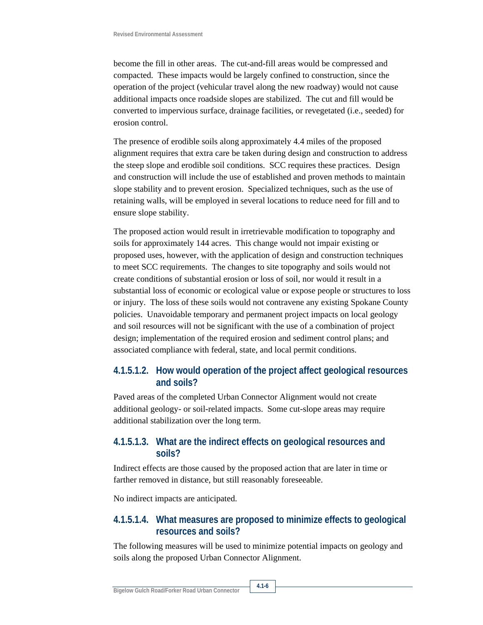become the fill in other areas. The cut-and-fill areas would be compressed and compacted. These impacts would be largely confined to construction, since the operation of the project (vehicular travel along the new roadway) would not cause additional impacts once roadside slopes are stabilized. The cut and fill would be converted to impervious surface, drainage facilities, or revegetated (i.e., seeded) for erosion control.

The presence of erodible soils along approximately 4.4 miles of the proposed alignment requires that extra care be taken during design and construction to address the steep slope and erodible soil conditions. SCC requires these practices. Design and construction will include the use of established and proven methods to maintain slope stability and to prevent erosion. Specialized techniques, such as the use of retaining walls, will be employed in several locations to reduce need for fill and to ensure slope stability.

The proposed action would result in irretrievable modification to topography and soils for approximately 144 acres. This change would not impair existing or proposed uses, however, with the application of design and construction techniques to meet SCC requirements. The changes to site topography and soils would not create conditions of substantial erosion or loss of soil, nor would it result in a substantial loss of economic or ecological value or expose people or structures to loss or injury. The loss of these soils would not contravene any existing Spokane County policies. Unavoidable temporary and permanent project impacts on local geology and soil resources will not be significant with the use of a combination of project design; implementation of the required erosion and sediment control plans; and associated compliance with federal, state, and local permit conditions.

#### **4.1.5.1.2. How would operation of the project affect geological resources and soils?**

Paved areas of the completed Urban Connector Alignment would not create additional geology- or soil-related impacts. Some cut-slope areas may require additional stabilization over the long term.

#### **4.1.5.1.3. What are the indirect effects on geological resources and soils?**

Indirect effects are those caused by the proposed action that are later in time or farther removed in distance, but still reasonably foreseeable.

No indirect impacts are anticipated.

#### **4.1.5.1.4. What measures are proposed to minimize effects to geological resources and soils?**

The following measures will be used to minimize potential impacts on geology and soils along the proposed Urban Connector Alignment.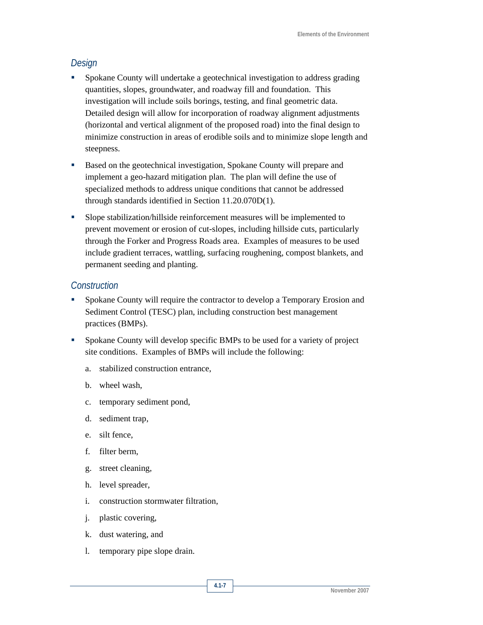#### *Design*

- Spokane County will undertake a geotechnical investigation to address grading quantities, slopes, groundwater, and roadway fill and foundation. This investigation will include soils borings, testing, and final geometric data. Detailed design will allow for incorporation of roadway alignment adjustments (horizontal and vertical alignment of the proposed road) into the final design to minimize construction in areas of erodible soils and to minimize slope length and steepness.
- Based on the geotechnical investigation, Spokane County will prepare and implement a geo-hazard mitigation plan. The plan will define the use of specialized methods to address unique conditions that cannot be addressed through standards identified in Section 11.20.070D(1).
- Slope stabilization/hillside reinforcement measures will be implemented to prevent movement or erosion of cut-slopes, including hillside cuts, particularly through the Forker and Progress Roads area. Examples of measures to be used include gradient terraces, wattling, surfacing roughening, compost blankets, and permanent seeding and planting.

#### *Construction*

- Spokane County will require the contractor to develop a Temporary Erosion and Sediment Control (TESC) plan, including construction best management practices (BMPs).
- Spokane County will develop specific BMPs to be used for a variety of project site conditions. Examples of BMPs will include the following:
	- a. stabilized construction entrance,
	- b. wheel wash,
	- c. temporary sediment pond,
	- d. sediment trap,
	- e. silt fence,
	- f. filter berm,
	- g. street cleaning,
	- h. level spreader,
	- i. construction stormwater filtration,
	- j. plastic covering,
	- k. dust watering, and
	- l. temporary pipe slope drain.